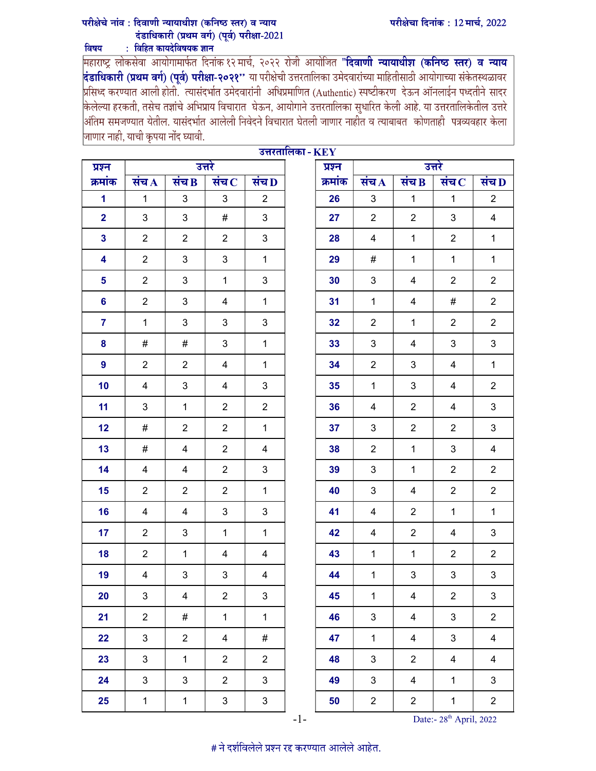## परीक्षेचा दिनांक: 12 मार्च, 2022

## परीक्षेचे नांव : दिवाणी न्यायाधीश (कनिष्ठ स्तर) व न्याय दंडाधिकारी (प्रथम वर्ग) (पर्व) परीक्षा-2021 : विहित कायदेविषयक ज्ञान विषय

महाराष्ट्र लोकसेवा आयोगामार्फत दिनांक १२ मार्च, २०२२ रोजी आयोजित "**दिवाणी न्यायाधीश (कनिष्ठ स्तर) व न्याय**<br>**दंडाधिकारी (प्रथम वर्ग) (पूर्व) परीक्षा-२०२१''** या परीक्षेची उत्तरतालिका उमेदवारांच्या माहितीसाठी आयोगाच्या संकेत केलेल्या हरकती, तसेच तज्ञांचे अभिप्राय विचारात घेऊन, आयोगाने उत्तरतालिका सुधारित केली आहे. या उत्तरतालिकेतील उत्तरे |<br>|अंतिम समजण्यात येतील. यासंदर्भात आलेली निवेदने विचारात घेतली जाणार नाहोत व त्याबाबत कोणताही पत्रव्यवहार केला |<br>|जाणार नाही, याची कृपया नोंद घ्यावी.

| प्रश्न         | उत्तरतालिका - $\mathbf{KEY}$<br>उत्तरे |                |                  |                           | प्रश्न  | उत्तरे         |                           |                           |                |  |
|----------------|----------------------------------------|----------------|------------------|---------------------------|---------|----------------|---------------------------|---------------------------|----------------|--|
| क्रमांक        | संच $\bf A$                            | संच $\bf{B}$   | संच $\, {\bf c}$ | संच $\bf D$               | क्रमांक | संच $\bf{A}$   | संच $\bf{B}$              | संच $\, {\bf c}$          | संच $\bf D$    |  |
| 1              | $\mathbf{1}$                           | 3              | 3                | $\overline{2}$            | 26      | $\mathbf{3}$   | $\mathbf{1}$              | $\mathbf{1}$              | $\overline{2}$ |  |
| $\overline{2}$ | $\mathfrak{B}$                         | 3              | #                | 3                         | 27      | $\overline{2}$ | $\overline{2}$            | 3                         | $\overline{4}$ |  |
| $\mathbf{3}$   | $\overline{2}$                         | $\overline{2}$ | $\overline{2}$   | $\ensuremath{\mathsf{3}}$ | 28      | 4              | $\mathbf{1}$              | $\overline{2}$            | $\mathbf 1$    |  |
| 4              | $\overline{2}$                         | 3              | 3                | $\mathbf{1}$              | 29      | #              | $\mathbf 1$               | $\mathbf 1$               | 1              |  |
| 5              | $\overline{2}$                         | 3              | $\mathbf{1}$     | 3                         | 30      | $\mathbf{3}$   | 4                         | $\overline{2}$            | $\overline{2}$ |  |
| 6              | $\overline{2}$                         | 3              | 4                | $\mathbf{1}$              | 31      | $\mathbf{1}$   | 4                         | #                         | $\overline{2}$ |  |
| $\overline{7}$ | $\mathbf{1}$                           | 3              | 3                | $\mathfrak{S}$            | 32      | $\overline{2}$ | $\mathbf{1}$              | $\overline{2}$            | $\overline{2}$ |  |
| 8              | #                                      | #              | 3                | $\mathbf{1}$              | 33      | 3              | $\overline{4}$            | 3                         | 3              |  |
| 9              | $\overline{2}$                         | $\overline{2}$ | 4                | $\mathbf{1}$              | 34      | $\overline{2}$ | 3                         | 4                         | $\mathbf{1}$   |  |
| 10             | 4                                      | 3              | 4                | 3                         | 35      | $\mathbf{1}$   | 3                         | 4                         | $\overline{2}$ |  |
| 11             | 3                                      | 1              | $\overline{2}$   | $\overline{2}$            | 36      | 4              | $\overline{2}$            | 4                         | 3              |  |
| 12             | $\#$                                   | $\overline{2}$ | $\overline{2}$   | $\mathbf{1}$              | 37      | 3              | $\overline{2}$            | $\overline{2}$            | 3              |  |
| 13             | #                                      | 4              | $\overline{2}$   | 4                         | 38      | $\overline{2}$ | $\mathbf{1}$              | 3                         | $\overline{4}$ |  |
| 14             | 4                                      | 4              | $\overline{2}$   | 3                         | 39      | $\mathbf{3}$   | $\mathbf{1}$              | $\overline{2}$            | $\overline{2}$ |  |
| 15             | $\overline{2}$                         | $\overline{2}$ | $\overline{2}$   | $\mathbf{1}$              | 40      | $\mathbf{3}$   | 4                         | $\overline{c}$            | $\overline{2}$ |  |
| 16             | 4                                      | 4              | 3                | 3                         | 41      | 4              | $\overline{2}$            | $\mathbf{1}$              | $\mathbf{1}$   |  |
| 17             | $\overline{2}$                         | 3              | $\mathbf{1}$     | $\mathbf{1}$              | 42      | 4              | $\overline{2}$            | 4                         | 3              |  |
| 18             | $\overline{2}$                         | $\mathbf{1}$   | $\overline{4}$   | 4                         | 43      | $\mathbf 1$    | $\mathbf{1}$              | $\overline{2}$            | $\overline{2}$ |  |
| 19             | 4                                      | 3              | 3                | 4                         | 44      | $\mathbf 1$    | $\ensuremath{\mathsf{3}}$ | $\ensuremath{\mathsf{3}}$ | $\mathfrak{S}$ |  |
| 20             | $\mathbf{3}$                           | 4              | $\overline{2}$   | $\ensuremath{\mathsf{3}}$ | 45      | $\mathbf{1}$   | 4                         | $\overline{2}$            | $\mathfrak{S}$ |  |
| 21             | $\overline{2}$                         | #              | $\mathbf{1}$     | $\mathbf{1}$              | 46      | $\sqrt{3}$     | $\overline{4}$            | $\mathfrak{S}$            | $\overline{2}$ |  |
| 22             | $\mathfrak{S}$                         | $\overline{2}$ | $\overline{4}$   | #                         | 47      | $\mathbf{1}$   | $\overline{4}$            | $\mathbf{3}$              | $\overline{4}$ |  |
| 23             | $\mathfrak{S}$                         | $\mathbf{1}$   | $\overline{2}$   | $\overline{2}$            | 48      | $\mathfrak{S}$ | $\overline{2}$            | 4                         | $\overline{4}$ |  |
| 24             | $\mathfrak{S}$                         | 3              | $\overline{2}$   | $\mathbf{3}$              | 49      | $\mathbf{3}$   | $\overline{4}$            | $\mathbf{1}$              | $\mathfrak{S}$ |  |
| 25             | $\mathbf{1}$                           | $\mathbf{1}$   | $\mathfrak{S}$   | $\mathbf{3}$              | 50      | $\overline{2}$ | $\overline{2}$            | $\mathbf{1}$              | $\overline{2}$ |  |

-1- Date:- 28th April, 2022

# ने दर्शविलेले प्रश्न रद्द करण्यात आलेले आहेत.